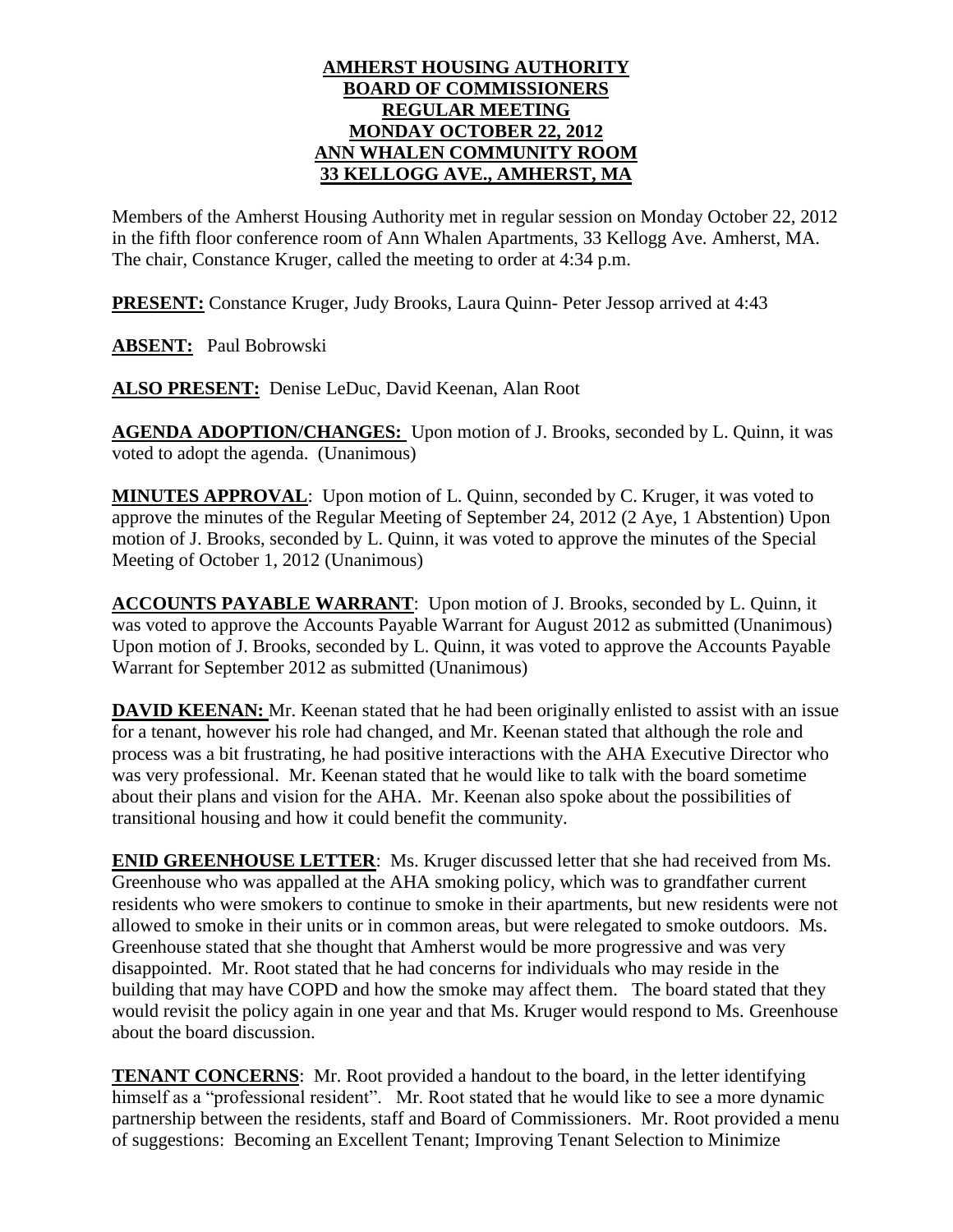## **AMHERST HOUSING AUTHORITY BOARD OF COMMISSIONERS REGULAR MEETING MONDAY OCTOBER 22, 2012 ANN WHALEN COMMUNITY ROOM 33 KELLOGG AVE., AMHERST, MA**

Members of the Amherst Housing Authority met in regular session on Monday October 22, 2012 in the fifth floor conference room of Ann Whalen Apartments, 33 Kellogg Ave. Amherst, MA. The chair, Constance Kruger, called the meeting to order at 4:34 p.m.

**PRESENT:** Constance Kruger, Judy Brooks, Laura Quinn- Peter Jessop arrived at 4:43

**ABSENT:** Paul Bobrowski

**ALSO PRESENT:** Denise LeDuc, David Keenan, Alan Root

**AGENDA ADOPTION/CHANGES:** Upon motion of J. Brooks, seconded by L. Quinn, it was voted to adopt the agenda. (Unanimous)

**MINUTES APPROVAL**: Upon motion of L. Quinn, seconded by C. Kruger, it was voted to approve the minutes of the Regular Meeting of September 24, 2012 (2 Aye, 1 Abstention) Upon motion of J. Brooks, seconded by L. Quinn, it was voted to approve the minutes of the Special Meeting of October 1, 2012 (Unanimous)

**ACCOUNTS PAYABLE WARRANT**: Upon motion of J. Brooks, seconded by L. Quinn, it was voted to approve the Accounts Payable Warrant for August 2012 as submitted (Unanimous) Upon motion of J. Brooks, seconded by L. Quinn, it was voted to approve the Accounts Payable Warrant for September 2012 as submitted (Unanimous)

**DAVID KEENAN:** Mr. Keenan stated that he had been originally enlisted to assist with an issue for a tenant, however his role had changed, and Mr. Keenan stated that although the role and process was a bit frustrating, he had positive interactions with the AHA Executive Director who was very professional. Mr. Keenan stated that he would like to talk with the board sometime about their plans and vision for the AHA. Mr. Keenan also spoke about the possibilities of transitional housing and how it could benefit the community.

**ENID GREENHOUSE LETTER**: Ms. Kruger discussed letter that she had received from Ms. Greenhouse who was appalled at the AHA smoking policy, which was to grandfather current residents who were smokers to continue to smoke in their apartments, but new residents were not allowed to smoke in their units or in common areas, but were relegated to smoke outdoors. Ms. Greenhouse stated that she thought that Amherst would be more progressive and was very disappointed. Mr. Root stated that he had concerns for individuals who may reside in the building that may have COPD and how the smoke may affect them. The board stated that they would revisit the policy again in one year and that Ms. Kruger would respond to Ms. Greenhouse about the board discussion.

**TENANT CONCERNS:** Mr. Root provided a handout to the board, in the letter identifying himself as a "professional resident". Mr. Root stated that he would like to see a more dynamic partnership between the residents, staff and Board of Commissioners. Mr. Root provided a menu of suggestions: Becoming an Excellent Tenant; Improving Tenant Selection to Minimize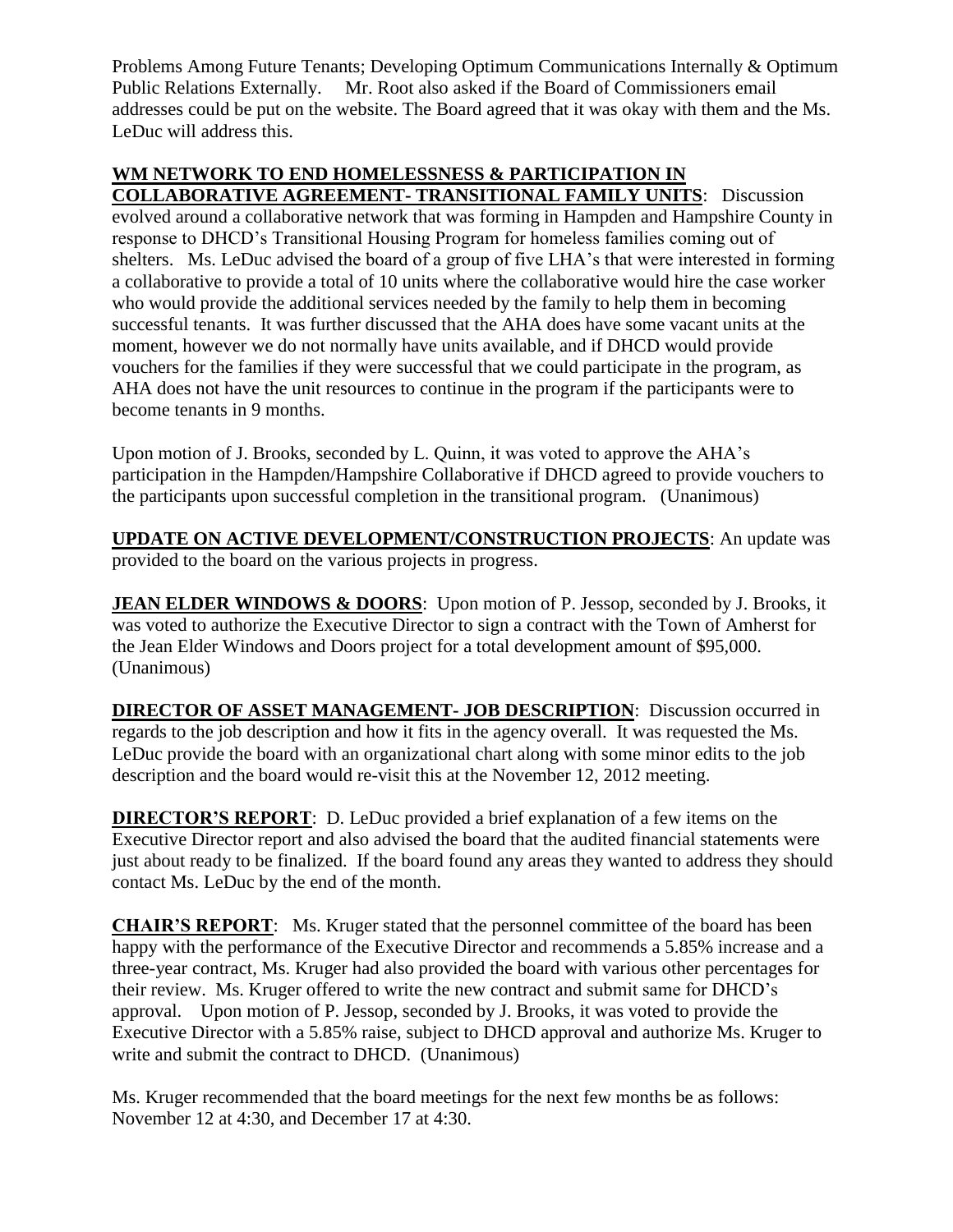Problems Among Future Tenants; Developing Optimum Communications Internally & Optimum Public Relations Externally. Mr. Root also asked if the Board of Commissioners email addresses could be put on the website. The Board agreed that it was okay with them and the Ms. LeDuc will address this.

## **WM NETWORK TO END HOMELESSNESS & PARTICIPATION IN COLLABORATIVE AGREEMENT- TRANSITIONAL FAMILY UNITS**: Discussion

evolved around a collaborative network that was forming in Hampden and Hampshire County in response to DHCD's Transitional Housing Program for homeless families coming out of shelters. Ms. LeDuc advised the board of a group of five LHA's that were interested in forming a collaborative to provide a total of 10 units where the collaborative would hire the case worker who would provide the additional services needed by the family to help them in becoming successful tenants. It was further discussed that the AHA does have some vacant units at the moment, however we do not normally have units available, and if DHCD would provide vouchers for the families if they were successful that we could participate in the program, as AHA does not have the unit resources to continue in the program if the participants were to become tenants in 9 months.

Upon motion of J. Brooks, seconded by L. Quinn, it was voted to approve the AHA's participation in the Hampden/Hampshire Collaborative if DHCD agreed to provide vouchers to the participants upon successful completion in the transitional program. (Unanimous)

**UPDATE ON ACTIVE DEVELOPMENT/CONSTRUCTION PROJECTS**: An update was provided to the board on the various projects in progress.

**JEAN ELDER WINDOWS & DOORS:** Upon motion of P. Jessop, seconded by J. Brooks, it was voted to authorize the Executive Director to sign a contract with the Town of Amherst for the Jean Elder Windows and Doors project for a total development amount of \$95,000. (Unanimous)

**DIRECTOR OF ASSET MANAGEMENT- JOB DESCRIPTION**: Discussion occurred in regards to the job description and how it fits in the agency overall. It was requested the Ms. LeDuc provide the board with an organizational chart along with some minor edits to the job description and the board would re-visit this at the November 12, 2012 meeting.

**DIRECTOR'S REPORT**: D. LeDuc provided a brief explanation of a few items on the Executive Director report and also advised the board that the audited financial statements were just about ready to be finalized. If the board found any areas they wanted to address they should contact Ms. LeDuc by the end of the month.

**CHAIR'S REPORT**: Ms. Kruger stated that the personnel committee of the board has been happy with the performance of the Executive Director and recommends a 5.85% increase and a three-year contract, Ms. Kruger had also provided the board with various other percentages for their review. Ms. Kruger offered to write the new contract and submit same for DHCD's approval. Upon motion of P. Jessop, seconded by J. Brooks, it was voted to provide the Executive Director with a 5.85% raise, subject to DHCD approval and authorize Ms. Kruger to write and submit the contract to DHCD. (Unanimous)

Ms. Kruger recommended that the board meetings for the next few months be as follows: November 12 at 4:30, and December 17 at 4:30.